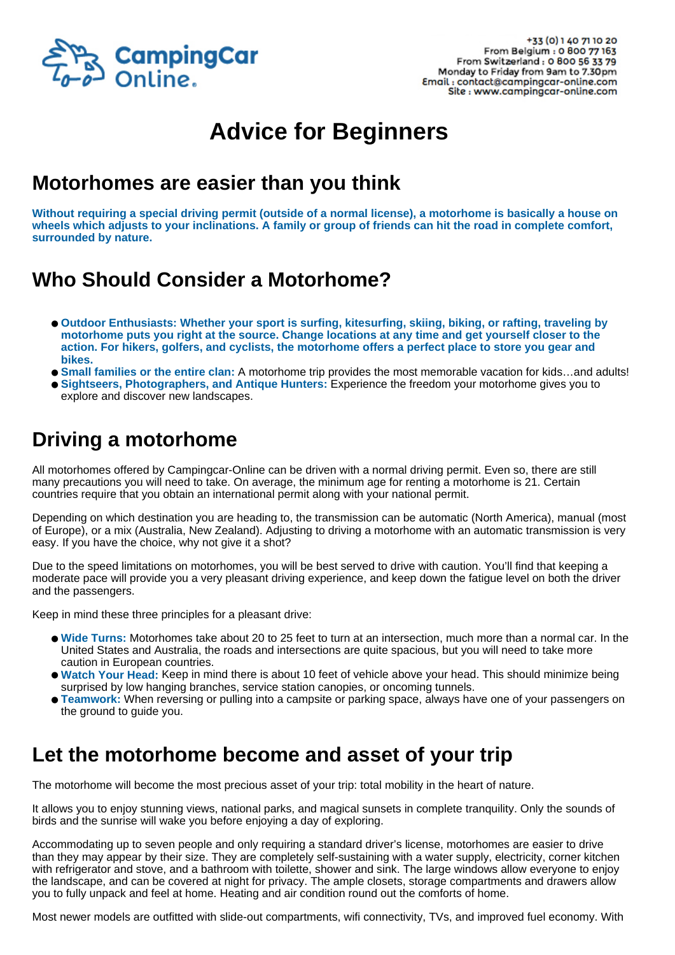

# **Advice for Beginners**

## **Motorhomes are easier than you think**

**Without requiring a special driving permit (outside of a normal license), a motorhome is basically a house on wheels which adjusts to your inclinations. A family or group of friends can hit the road in complete comfort, surrounded by nature.**

#### **Who Should Consider a Motorhome?**

- **Outdoor Enthusiasts: Whether your sport is surfing, kitesurfing, skiing, biking, or rafting, traveling by motorhome puts you right at the source. Change locations at any time and get yourself closer to the action. For hikers, golfers, and cyclists, the motorhome offers a perfect place to store you gear and bikes.**
- **Small families or the entire clan:** A motorhome trip provides the most memorable vacation for kids…and adults!
- **Sightseers, Photographers, and Antique Hunters:** Experience the freedom your motorhome gives you to explore and discover new landscapes.

#### **Driving a motorhome**

All motorhomes offered by Campingcar-Online can be driven with a normal driving permit. Even so, there are still many precautions you will need to take. On average, the minimum age for renting a motorhome is 21. Certain countries require that you obtain an international permit along with your national permit.

Depending on which destination you are heading to, the transmission can be automatic (North America), manual (most of Europe), or a mix (Australia, New Zealand). Adjusting to driving a motorhome with an automatic transmission is very easy. If you have the choice, why not give it a shot?

Due to the speed limitations on motorhomes, you will be best served to drive with caution. You'll find that keeping a moderate pace will provide you a very pleasant driving experience, and keep down the fatigue level on both the driver and the passengers.

Keep in mind these three principles for a pleasant drive:

- **Wide Turns:** Motorhomes take about 20 to 25 feet to turn at an intersection, much more than a normal car. In the United States and Australia, the roads and intersections are quite spacious, but you will need to take more caution in European countries.
- **Watch Your Head:** Keep in mind there is about 10 feet of vehicle above your head. This should minimize being surprised by low hanging branches, service station canopies, or oncoming tunnels.
- **Teamwork:** When reversing or pulling into a campsite or parking space, always have one of your passengers on the ground to guide you.

#### **Let the motorhome become and asset of your trip**

The motorhome will become the most precious asset of your trip: total mobility in the heart of nature.

It allows you to enjoy stunning views, national parks, and magical sunsets in complete tranquility. Only the sounds of birds and the sunrise will wake you before enjoying a day of exploring.

Accommodating up to seven people and only requiring a standard driver's license, motorhomes are easier to drive than they may appear by their size. They are completely self-sustaining with a water supply, electricity, corner kitchen with refrigerator and stove, and a bathroom with toilette, shower and sink. The large windows allow everyone to enjoy the landscape, and can be covered at night for privacy. The ample closets, storage compartments and drawers allow you to fully unpack and feel at home. Heating and air condition round out the comforts of home.

Most newer models are outfitted with slide-out compartments, wifi connectivity, TVs, and improved fuel economy. With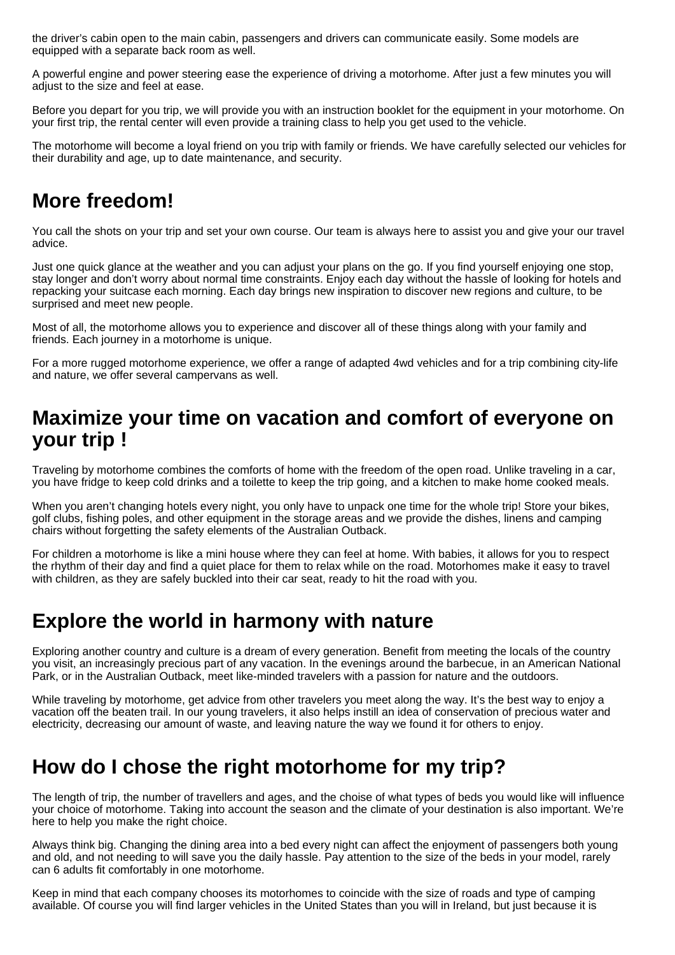the driver's cabin open to the main cabin, passengers and drivers can communicate easily. Some models are equipped with a separate back room as well.

A powerful engine and power steering ease the experience of driving a motorhome. After just a few minutes you will adjust to the size and feel at ease.

Before you depart for you trip, we will provide you with an instruction booklet for the equipment in your motorhome. On your first trip, the rental center will even provide a training class to help you get used to the vehicle.

The motorhome will become a loyal friend on you trip with family or friends. We have carefully selected our vehicles for their durability and age, up to date maintenance, and security.

#### **More freedom!**

You call the shots on your trip and set your own course. Our team is always here to assist you and give your our travel advice.

Just one quick glance at the weather and you can adjust your plans on the go. If you find yourself enjoying one stop, stay longer and don't worry about normal time constraints. Enjoy each day without the hassle of looking for hotels and repacking your suitcase each morning. Each day brings new inspiration to discover new regions and culture, to be surprised and meet new people.

Most of all, the motorhome allows you to experience and discover all of these things along with your family and friends. Each journey in a motorhome is unique.

For a more rugged motorhome experience, we offer a range of adapted 4wd vehicles and for a trip combining city-life and nature, we offer several campervans as well.

#### **Maximize your time on vacation and comfort of everyone on your trip !**

Traveling by motorhome combines the comforts of home with the freedom of the open road. Unlike traveling in a car, you have fridge to keep cold drinks and a toilette to keep the trip going, and a kitchen to make home cooked meals.

When you aren't changing hotels every night, you only have to unpack one time for the whole trip! Store your bikes, golf clubs, fishing poles, and other equipment in the storage areas and we provide the dishes, linens and camping chairs without forgetting the safety elements of the Australian Outback.

For children a motorhome is like a mini house where they can feel at home. With babies, it allows for you to respect the rhythm of their day and find a quiet place for them to relax while on the road. Motorhomes make it easy to travel with children, as they are safely buckled into their car seat, ready to hit the road with you.

#### **Explore the world in harmony with nature**

Exploring another country and culture is a dream of every generation. Benefit from meeting the locals of the country you visit, an increasingly precious part of any vacation. In the evenings around the barbecue, in an American National Park, or in the Australian Outback, meet like-minded travelers with a passion for nature and the outdoors.

While traveling by motorhome, get advice from other travelers you meet along the way. It's the best way to enjoy a vacation off the beaten trail. In our young travelers, it also helps instill an idea of conservation of precious water and electricity, decreasing our amount of waste, and leaving nature the way we found it for others to enjoy.

#### **How do I chose the right motorhome for my trip?**

The length of trip, the number of travellers and ages, and the choise of what types of beds you would like will influence your choice of motorhome. Taking into account the season and the climate of your destination is also important. We're here to help you make the right choice.

Always think big. Changing the dining area into a bed every night can affect the enjoyment of passengers both young and old, and not needing to will save you the daily hassle. Pay attention to the size of the beds in your model, rarely can 6 adults fit comfortably in one motorhome.

Keep in mind that each company chooses its motorhomes to coincide with the size of roads and type of camping available. Of course you will find larger vehicles in the United States than you will in Ireland, but just because it is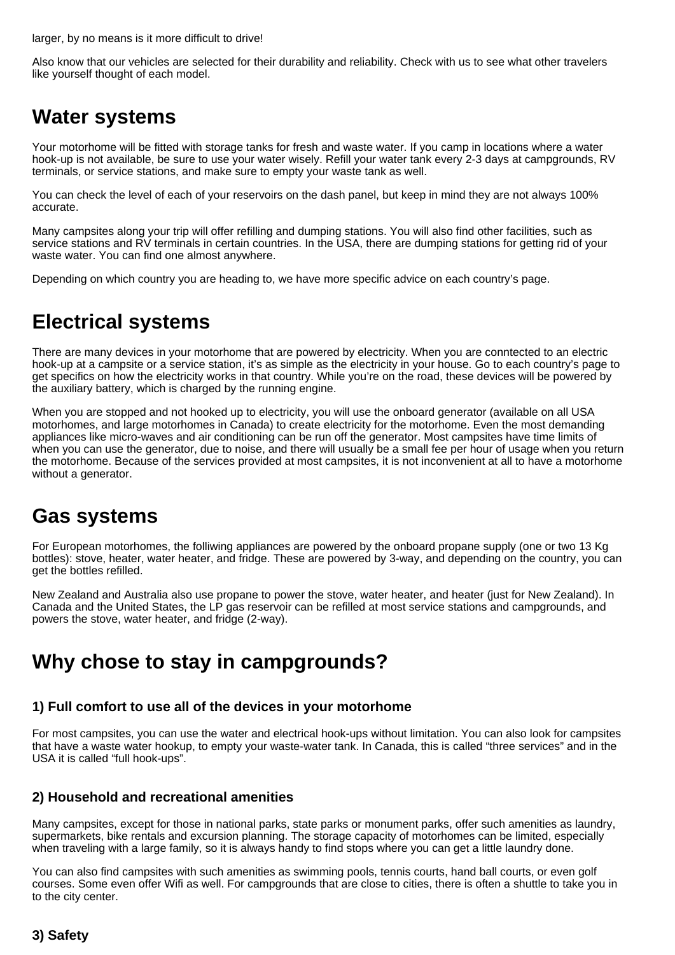larger, by no means is it more difficult to drive!

Also know that our vehicles are selected for their durability and reliability. Check with us to see what other travelers like yourself thought of each model.

#### **Water systems**

Your motorhome will be fitted with storage tanks for fresh and waste water. If you camp in locations where a water hook-up is not available, be sure to use your water wisely. Refill your water tank every 2-3 days at campgrounds, RV terminals, or service stations, and make sure to empty your waste tank as well.

You can check the level of each of your reservoirs on the dash panel, but keep in mind they are not always 100% accurate.

Many campsites along your trip will offer refilling and dumping stations. You will also find other facilities, such as service stations and RV terminals in certain countries. In the USA, there are dumping stations for getting rid of your waste water. You can find one almost anywhere.

Depending on which country you are heading to, we have more specific advice on each country's page.

## **Electrical systems**

There are many devices in your motorhome that are powered by electricity. When you are conntected to an electric hook-up at a campsite or a service station, it's as simple as the electricity in your house. Go to each country's page to get specifics on how the electricity works in that country. While you're on the road, these devices will be powered by the auxiliary battery, which is charged by the running engine.

When you are stopped and not hooked up to electricity, you will use the onboard generator (available on all USA motorhomes, and large motorhomes in Canada) to create electricity for the motorhome. Even the most demanding appliances like micro-waves and air conditioning can be run off the generator. Most campsites have time limits of when you can use the generator, due to noise, and there will usually be a small fee per hour of usage when you return the motorhome. Because of the services provided at most campsites, it is not inconvenient at all to have a motorhome without a generator.

#### **Gas systems**

For European motorhomes, the folliwing appliances are powered by the onboard propane supply (one or two 13 Kg bottles): stove, heater, water heater, and fridge. These are powered by 3-way, and depending on the country, you can get the bottles refilled.

New Zealand and Australia also use propane to power the stove, water heater, and heater (just for New Zealand). In Canada and the United States, the LP gas reservoir can be refilled at most service stations and campgrounds, and powers the stove, water heater, and fridge (2-way).

### **Why chose to stay in campgrounds?**

#### **1) Full comfort to use all of the devices in your motorhome**

For most campsites, you can use the water and electrical hook-ups without limitation. You can also look for campsites that have a waste water hookup, to empty your waste-water tank. In Canada, this is called "three services" and in the USA it is called "full hook-ups".

#### **2) Household and recreational amenities**

Many campsites, except for those in national parks, state parks or monument parks, offer such amenities as laundry, supermarkets, bike rentals and excursion planning. The storage capacity of motorhomes can be limited, especially when traveling with a large family, so it is always handy to find stops where you can get a little laundry done.

You can also find campsites with such amenities as swimming pools, tennis courts, hand ball courts, or even golf courses. Some even offer Wifi as well. For campgrounds that are close to cities, there is often a shuttle to take you in to the city center.